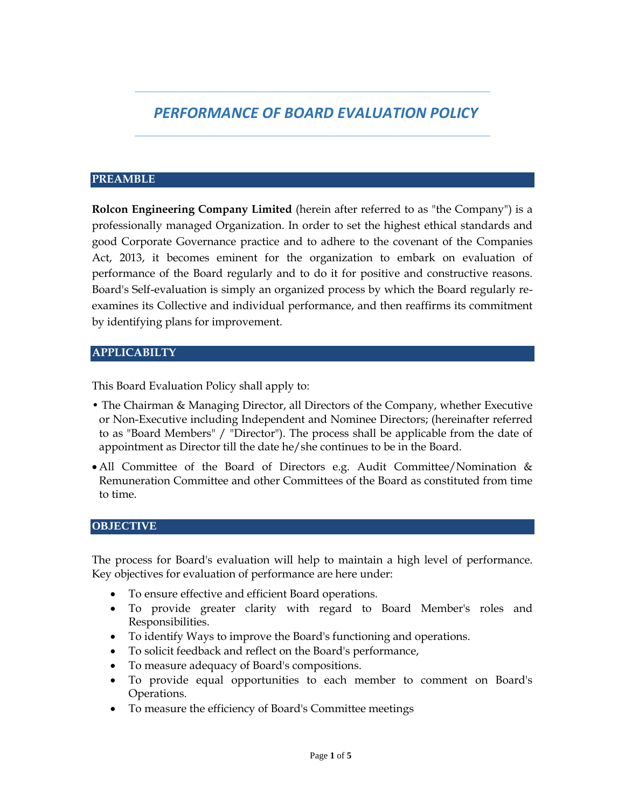# *PERFORMANCE OF BOARD EVALUATION POLICY*

#### **PREAMBLE**

**Rolcon Engineering Company Limited** (herein after referred to as "the Company") is a professionally managed Organization. In order to set the highest ethical standards and good Corporate Governance practice and to adhere to the covenant of the Companies Act, 2013, it becomes eminent for the organization to embark on evaluation of performance of the Board regularly and to do it for positive and constructive reasons. Board's Self-evaluation is simply an organized process by which the Board regularly reexamines its Collective and individual performance, and then reaffirms its commitment by identifying plans for improvement.

### **APPLICABILTY**

This Board Evaluation Policy shall apply to:

- The Chairman & Managing Director, all Directors of the Company, whether Executive or Non-Executive including Independent and Nominee Directors; (hereinafter referred to as "Board Members" / "Director"). The process shall be applicable from the date of appointment as Director till the date he/she continues to be in the Board.
- All Committee of the Board of Directors e.g. Audit Committee/Nomination & Remuneration Committee and other Committees of the Board as constituted from time to time.

#### **OBJECTIVE**

The process for Board's evaluation will help to maintain a high level of performance. Key objectives for evaluation of performance are here under:

- To ensure effective and efficient Board operations.
- To provide greater clarity with regard to Board Member's roles and Responsibilities.
- To identify Ways to improve the Board's functioning and operations.
- To solicit feedback and reflect on the Board's performance,
- To measure adequacy of Board's compositions.
- To provide equal opportunities to each member to comment on Board's Operations.
- To measure the efficiency of Board's Committee meetings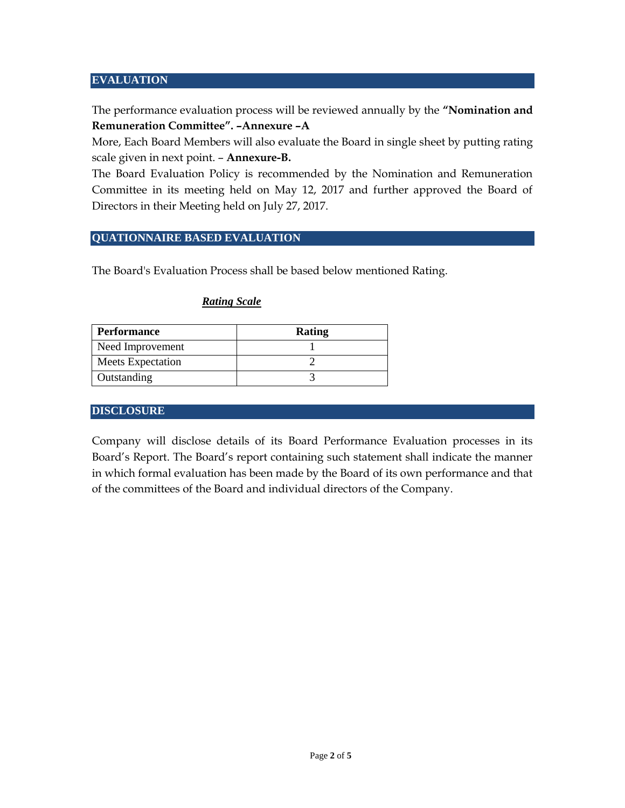#### **EVALUATION**

The performance evaluation process will be reviewed annually by the **"Nomination and Remuneration Committee". –Annexure –A**

More, Each Board Members will also evaluate the Board in single sheet by putting rating scale given in next point. – **Annexure-B.**

The Board Evaluation Policy is recommended by the Nomination and Remuneration Committee in its meeting held on May 12, 2017 and further approved the Board of Directors in their Meeting held on July 27, 2017.

#### **QUATIONNAIRE BASED EVALUATION**

The Board's Evaluation Process shall be based below mentioned Rating.

| <b>Performance</b> | Rating |  |  |
|--------------------|--------|--|--|
| Need Improvement   |        |  |  |
| Meets Expectation  |        |  |  |
| Outstanding        |        |  |  |

### *Rating Scale*

#### **DISCLOSURE**

Company will disclose details of its Board Performance Evaluation processes in its Board's Report. The Board's report containing such statement shall indicate the manner in which formal evaluation has been made by the Board of its own performance and that of the committees of the Board and individual directors of the Company.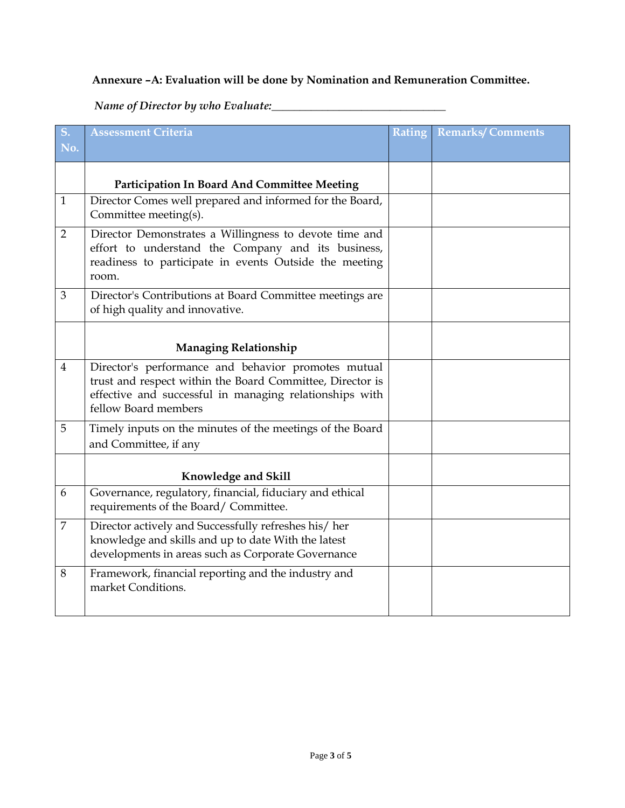## **Annexure –A: Evaluation will be done by Nomination and Remuneration Committee.**

*Name of Director by who Evaluate:\_\_\_\_\_\_\_\_\_\_\_\_\_\_\_\_\_\_\_\_\_\_\_\_\_\_\_\_\_\_\_*

| S.             | <b>Assessment Criteria</b>                                                                                                                                                                          | Rating | <b>Remarks/Comments</b> |
|----------------|-----------------------------------------------------------------------------------------------------------------------------------------------------------------------------------------------------|--------|-------------------------|
| No.            |                                                                                                                                                                                                     |        |                         |
|                | Participation In Board And Committee Meeting                                                                                                                                                        |        |                         |
| $\mathbf{1}$   | Director Comes well prepared and informed for the Board,<br>Committee meeting(s).                                                                                                                   |        |                         |
| $\overline{2}$ | Director Demonstrates a Willingness to devote time and<br>effort to understand the Company and its business,<br>readiness to participate in events Outside the meeting<br>room.                     |        |                         |
| 3              | Director's Contributions at Board Committee meetings are<br>of high quality and innovative.                                                                                                         |        |                         |
|                | <b>Managing Relationship</b>                                                                                                                                                                        |        |                         |
| $\overline{4}$ | Director's performance and behavior promotes mutual<br>trust and respect within the Board Committee, Director is<br>effective and successful in managing relationships with<br>fellow Board members |        |                         |
| 5              | Timely inputs on the minutes of the meetings of the Board<br>and Committee, if any                                                                                                                  |        |                         |
|                | Knowledge and Skill                                                                                                                                                                                 |        |                         |
| 6              | Governance, regulatory, financial, fiduciary and ethical<br>requirements of the Board/Committee.                                                                                                    |        |                         |
| $\overline{7}$ | Director actively and Successfully refreshes his/her<br>knowledge and skills and up to date With the latest<br>developments in areas such as Corporate Governance                                   |        |                         |
| 8              | Framework, financial reporting and the industry and<br>market Conditions.                                                                                                                           |        |                         |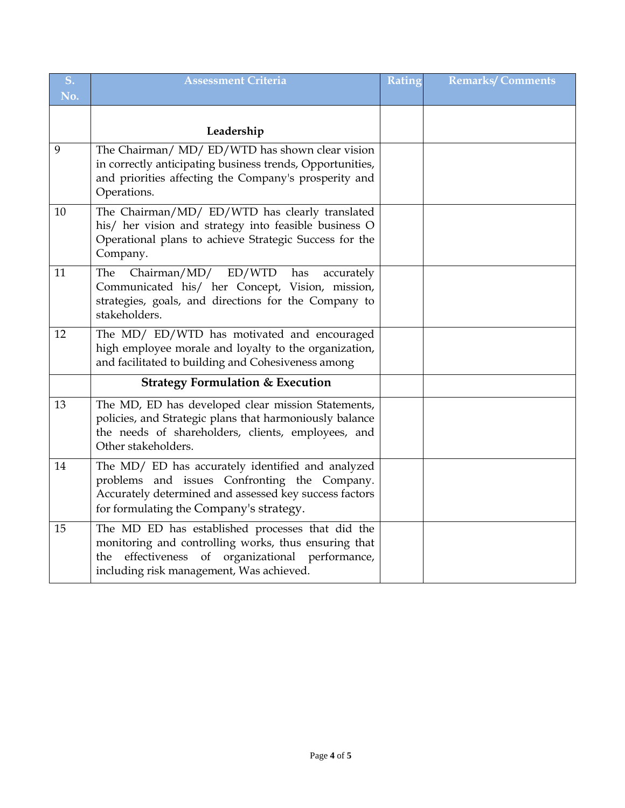| S.  | <b>Assessment Criteria</b>                                                                                                                                                                                  | Rating | <b>Remarks/Comments</b> |
|-----|-------------------------------------------------------------------------------------------------------------------------------------------------------------------------------------------------------------|--------|-------------------------|
| No. |                                                                                                                                                                                                             |        |                         |
|     | Leadership                                                                                                                                                                                                  |        |                         |
| 9   | The Chairman/ MD/ ED/WTD has shown clear vision<br>in correctly anticipating business trends, Opportunities,<br>and priorities affecting the Company's prosperity and<br>Operations.                        |        |                         |
| 10  | The Chairman/MD/ ED/WTD has clearly translated<br>his/ her vision and strategy into feasible business O<br>Operational plans to achieve Strategic Success for the<br>Company.                               |        |                         |
| 11  | Chairman/MD/ED/WTD<br>has<br>The<br>accurately<br>Communicated his/ her Concept, Vision, mission,<br>strategies, goals, and directions for the Company to<br>stakeholders.                                  |        |                         |
| 12  | The MD/ ED/WTD has motivated and encouraged<br>high employee morale and loyalty to the organization,<br>and facilitated to building and Cohesiveness among                                                  |        |                         |
|     | <b>Strategy Formulation &amp; Execution</b>                                                                                                                                                                 |        |                         |
| 13  | The MD, ED has developed clear mission Statements,<br>policies, and Strategic plans that harmoniously balance<br>the needs of shareholders, clients, employees, and<br>Other stakeholders.                  |        |                         |
| 14  | The MD/ ED has accurately identified and analyzed<br>problems and issues Confronting the Company.<br>Accurately determined and assessed key success factors<br>for formulating the Company's strategy.      |        |                         |
| 15  | The MD ED has established processes that did the<br>monitoring and controlling works, thus ensuring that<br>effectiveness of organizational performance,<br>the<br>including risk management, Was achieved. |        |                         |